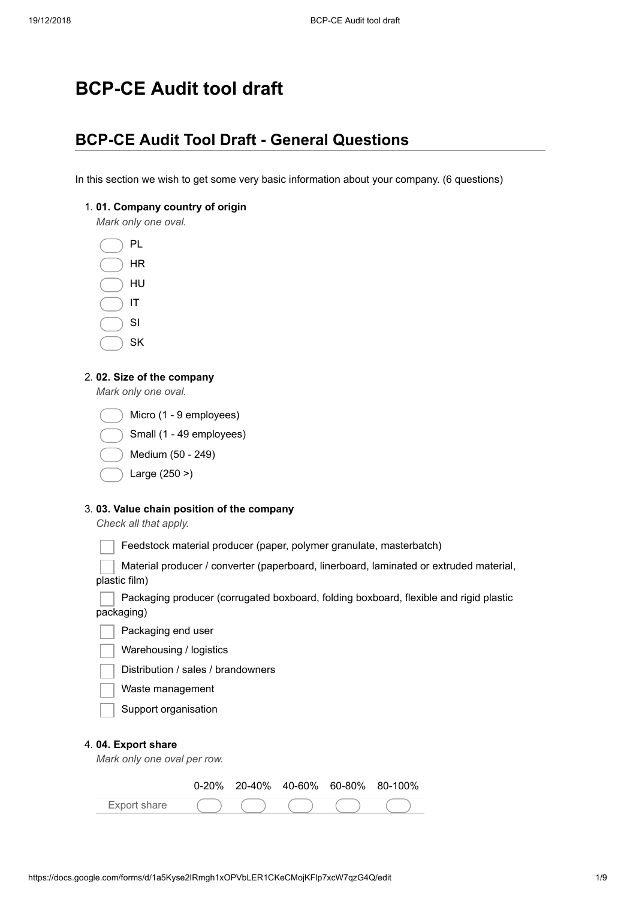# **BCP-CE Audit tool draft**

### **BCP-CE Audit Tool Draft - General Questions**

In this section we wish to get some very basic information about your company. (6 questions)

1. **01. Company country of origin**

*Mark only one oval.*



2. **02. Size of the company**

*Mark only one oval.*

- Small (1 49 employees)
- Medium (50 249)
- Large (250 >)

#### 3. **03. Value chain position of the company**

*Check all that apply.*

Feedstock material producer (paper, polymer granulate, masterbatch)

Material producer / converter (paperboard, linerboard, laminated or extruded material, plastic film)

Packaging producer (corrugated boxboard, folding boxboard, flexible and rigid plastic packaging)

- Packaging end user
- Warehousing / logistics
- Distribution / sales / brandowners
- Waste management
- Support organisation

#### 4. **04. Export share**

*Mark only one oval per row.*

|              |  |  | $0-20\%$ 20-40% 40-60% 60-80% 80-100% |
|--------------|--|--|---------------------------------------|
| Export share |  |  |                                       |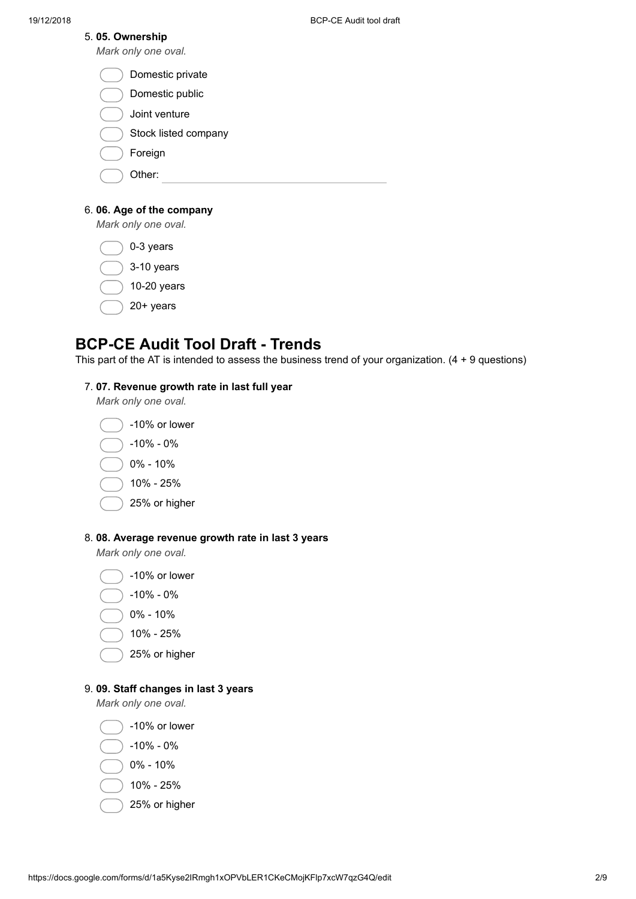#### 5. **05. Ownership**

*Mark only one oval.*

| Domestic private |
|------------------|
|------------------|

- Domestic public
- Joint venture
- Stock listed company
- Foreign
- Other:

### 6. **06. Age of the company**

*Mark only one oval.*

0-3 years

- 3-10 years
- 10-20 years
- 20+ years

## **BCP-CE Audit Tool Draft - Trends**

This part of the AT is intended to assess the business trend of your organization. (4 + 9 questions)

### 7. **07. Revenue growth rate in last full year**

*Mark only one oval.*



25% or higher

### 8. **08. Average revenue growth rate in last 3 years**

*Mark only one oval.*

- -10% or lower
- -10% 0%
- 0% 10%
- 10% 25%
- 25% or higher

### 9. **09. Staff changes in last 3 years**

*Mark only one oval.*

-10% or lower

- -10% 0%
- 0% 10%
- 10% 25%
- 25% or higher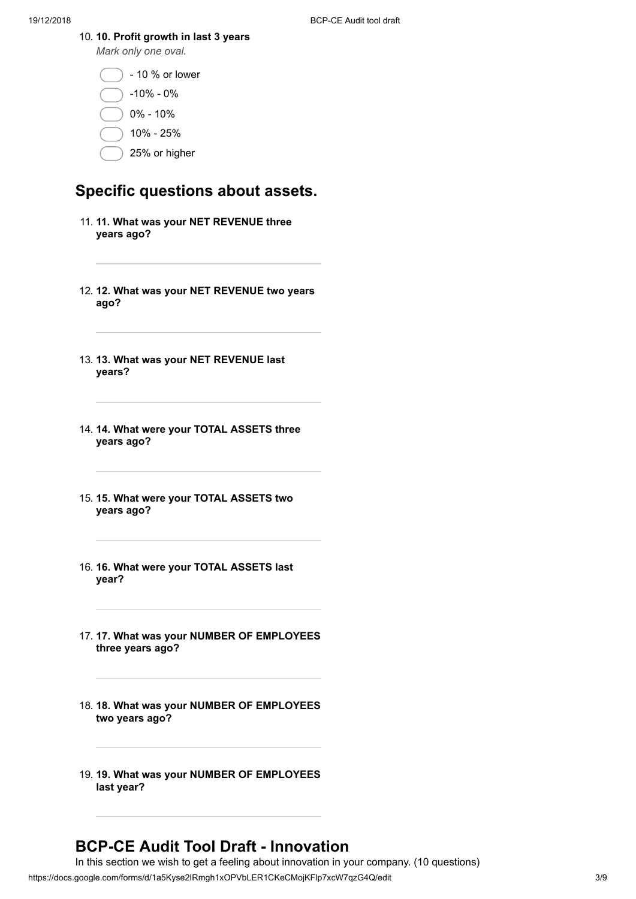10. **10. Profit growth in last 3 years**

*Mark only one oval.*

- 10 % or lower

-10% - 0%

0% - 10%

10% - 25%

25% or higher

### **Specific questions about assets.**

- 11. **11. What was your NET REVENUE three years ago?**
- 12. **12. What was your NET REVENUE two years ago?**
- 13. **13. What was your NET REVENUE last years?**
- 14. **14. What were your TOTAL ASSETS three years ago?**
- 15. **15. What were your TOTAL ASSETS two years ago?**
- 16. **16. What were your TOTAL ASSETS last year?**
- 17. **17. What was your NUMBER OF EMPLOYEES three years ago?**
- 18. **18. What was your NUMBER OF EMPLOYEES two years ago?**
- 19. **19. What was your NUMBER OF EMPLOYEES last year?**

### **BCP-CE Audit Tool Draft - Innovation**

https://docs.google.com/forms/d/1a5Kyse2IRmgh1xOPVbLER1CKeCMojKFlp7xcW7qzG4Q/edit 3/9 In this section we wish to get a feeling about innovation in your company. (10 questions)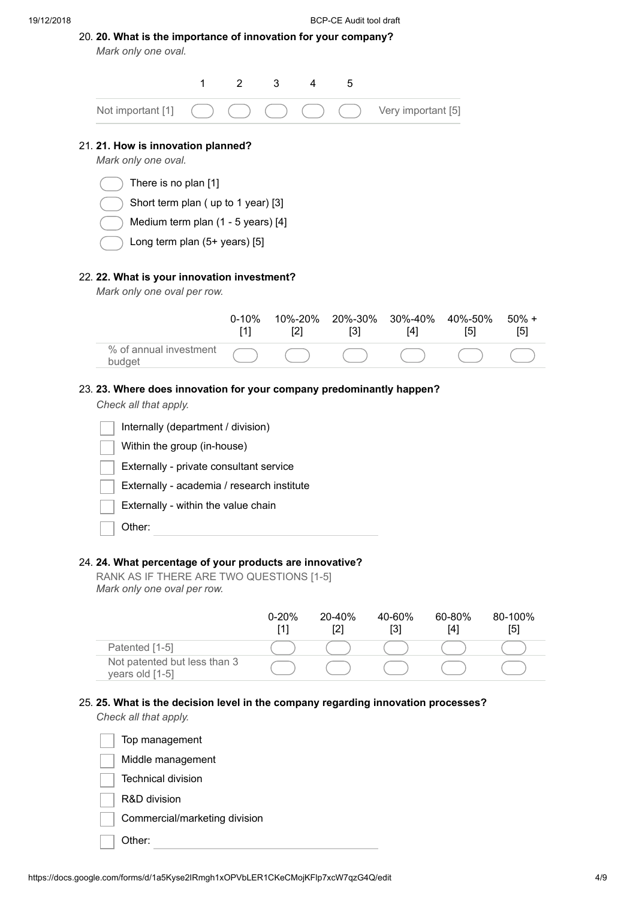|  |                     |  | 20. 20. What is the importance of innovation for your company? |  |  |
|--|---------------------|--|----------------------------------------------------------------|--|--|
|  | Mark only one oval. |  |                                                                |  |  |

| 1                                                                    | $\overline{2}$     | 3<br>4           | 5                |                    |                |              |
|----------------------------------------------------------------------|--------------------|------------------|------------------|--------------------|----------------|--------------|
| Not important [1]                                                    |                    |                  |                  | Very important [5] |                |              |
| 21. 21. How is innovation planned?<br>Mark only one oval.            |                    |                  |                  |                    |                |              |
| There is no plan [1]                                                 |                    |                  |                  |                    |                |              |
| Short term plan (up to 1 year) [3]                                   |                    |                  |                  |                    |                |              |
| Medium term plan (1 - 5 years) [4]                                   |                    |                  |                  |                    |                |              |
| Long term plan (5+ years) [5]                                        |                    |                  |                  |                    |                |              |
| Mark only one oval per row.                                          | $0 - 10%$<br>$[1]$ | 10%-20%<br>$[2]$ | 20%-30%<br>$[3]$ | 30%-40%<br>$[4]$   | 40%-50%<br>[5] | 50%<br>$[5]$ |
| % of annual investment<br>budget                                     |                    |                  |                  |                    |                |              |
| 23. 23. Where does innovation for your company predominantly happen? |                    |                  |                  |                    |                |              |
| Check all that apply.                                                |                    |                  |                  |                    |                |              |
| Internally (department / division)                                   |                    |                  |                  |                    |                |              |
| Within the group (in-house)                                          |                    |                  |                  |                    |                |              |
| Externally - private consultant service                              |                    |                  |                  |                    |                |              |

Externally - academia / research institute

Externally - within the value chain

Other:

#### 24. **24. What percentage of your products are innovative?**

RANK AS IF THERE ARE TWO QUESTIONS [1-5] *Mark only one oval per row.*

|                                                 | $0 - 20%$ | 20-40%<br>[2] | 40-60%<br>[3] | 60-80%<br>[4] | 80-100%<br>[5] |
|-------------------------------------------------|-----------|---------------|---------------|---------------|----------------|
| Patented [1-5]                                  |           |               |               |               |                |
| Not patented but less than 3<br>years old [1-5] |           |               |               |               |                |

### 25. **25. What is the decision level in the company regarding innovation processes?**

*Check all that apply.*



 $+$ 

 $\overline{\mathcal{L}}$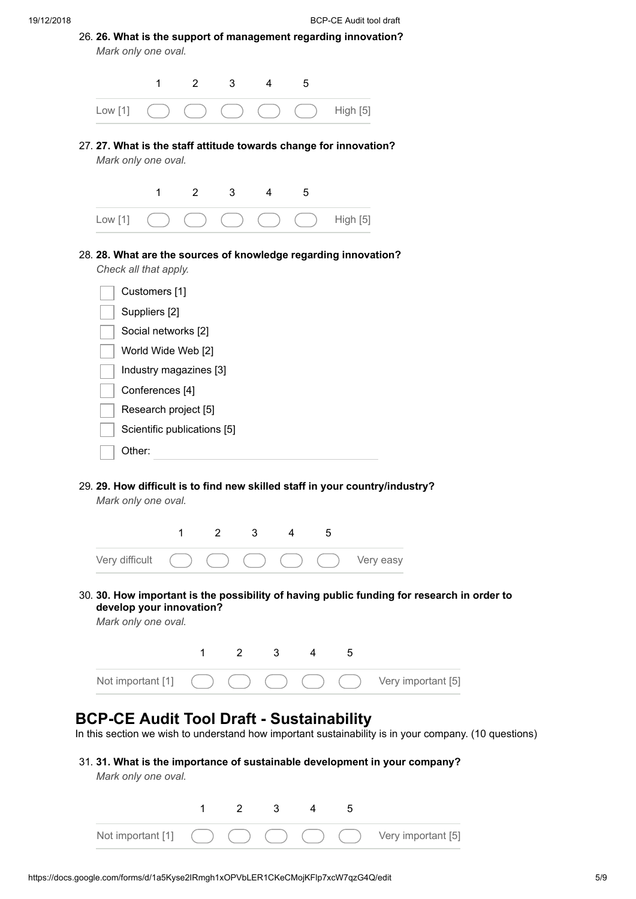| 26. 26. What is the support of management regarding innovation?<br>Mark only one oval. |                                              |                |   |   |   |          |
|----------------------------------------------------------------------------------------|----------------------------------------------|----------------|---|---|---|----------|
|                                                                                        | 1                                            | $\overline{2}$ | 3 | 4 | 5 |          |
| Low [1]                                                                                |                                              |                |   |   |   | High [5] |
| 27. 27. What is the staff attitude towards change for innovation?                      | Mark only one oval.                          |                |   |   |   |          |
|                                                                                        |                                              |                |   |   |   |          |
| Low [1]<br>28. 28. What are the sources of knowledge regarding innovation?             | 1                                            | $\overline{2}$ | 3 | 4 | 5 | High [5] |
|                                                                                        | Check all that apply.<br>Customers [1]       |                |   |   |   |          |
|                                                                                        | Suppliers [2]<br>Social networks [2]         |                |   |   |   |          |
|                                                                                        | World Wide Web [2]<br>Industry magazines [3] |                |   |   |   |          |

29. **29. How difficult is to find new skilled staff in your country/industry?**

*Mark only one oval.*



30. **30. How important is the possibility of having public funding for research in order to develop your innovation?**

*Mark only one oval.*



### **BCP-CE Audit Tool Draft - Sustainability**

In this section we wish to understand how important sustainability is in your company. (10 questions)

31. **31. What is the importance of sustainable development in your company?** *Mark only one oval.*

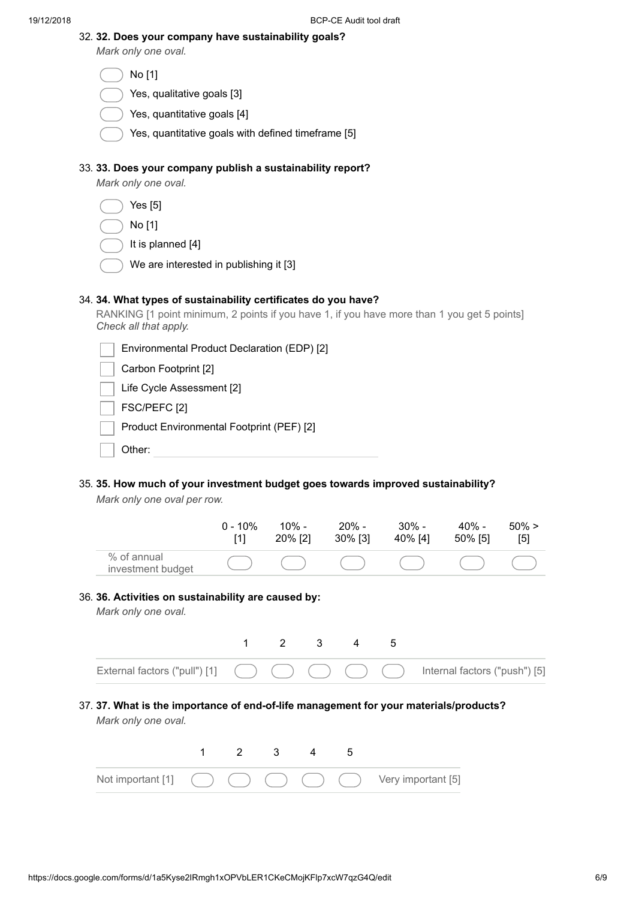|  |  |  |  |  | 32. 32. Does your company have sustainability goals? |  |
|--|--|--|--|--|------------------------------------------------------|--|
|--|--|--|--|--|------------------------------------------------------|--|

*Mark only one oval.*

| No.<br>Г |
|----------|
|----------|

- Yes, qualitative goals [3]
- Yes, quantitative goals [4]
- Yes, quantitative goals with defined timeframe [5]

#### 33. **33. Does your company publish a sustainability report?**

*Mark only one oval.*

|--|--|--|

- No [1]
- It is planned [4]
- We are interested in publishing it [3]

### 34. **34. What types of sustainability certificates do you have?**

RANKING [1 point minimum, 2 points if you have 1, if you have more than 1 you get 5 points] *Check all that apply.*

| Environmental Product Declaration (EDP) [2] |
|---------------------------------------------|
| Carbon Footprint [2]                        |
| Life Cycle Assessment [2]                   |
| FSC/PEFC [2]                                |
| Product Environmental Footprint (PEF) [2]   |
| ther:                                       |

# 35. **35. How much of your investment budget goes towards improved sustainability?**

*Mark only one oval per row.*

|                                  | $0 - 10\%$ | $10\%$ - | $20\%$ - | $30\%$ - | $40\%$ - | $50\% >$ |
|----------------------------------|------------|----------|----------|----------|----------|----------|
|                                  | [1]        | 20% [2]  | 30% [3]  | 40% [4]  | 50% [5]  | [5]      |
| % of annual<br>investment budget |            |          |          |          |          |          |

*Mark only one oval.*



#### 37. **37. What is the importance of end-of-life management for your materials/products?** *Mark only one oval.*

|  |  |  | Not important [1] $( ) ( ) ( ) ( ) ( ) ( )$ (c) $( )$ Very important [5] |
|--|--|--|--------------------------------------------------------------------------|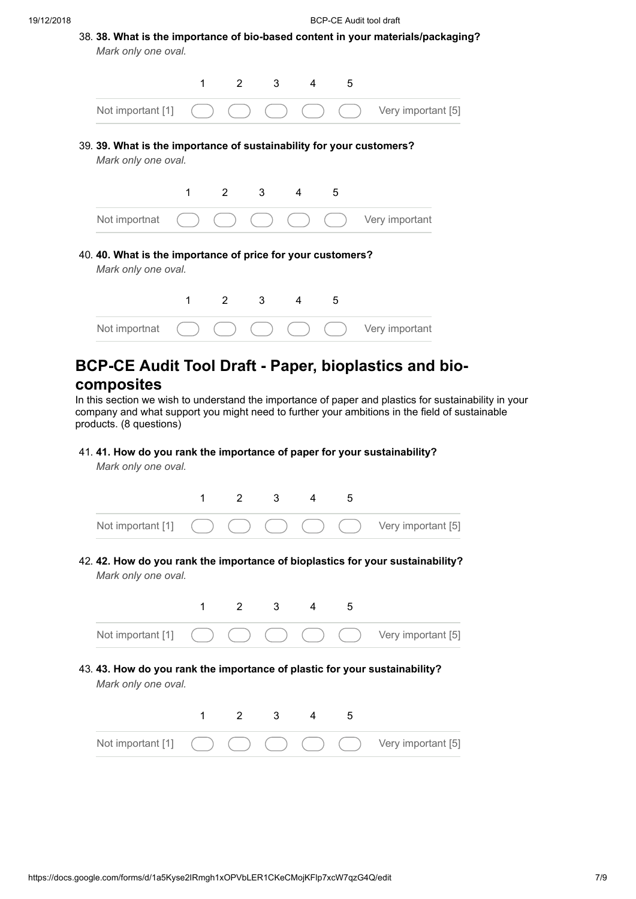|                                                                                             | 38. 38. What is the importance of bio-based content in your materials/packaging?<br>Mark only one oval. |   |                |             |                                  |   |  |                    |
|---------------------------------------------------------------------------------------------|---------------------------------------------------------------------------------------------------------|---|----------------|-------------|----------------------------------|---|--|--------------------|
|                                                                                             |                                                                                                         | 1 |                | $2^{\circ}$ | 3 <sup>7</sup><br>$\overline{4}$ | 5 |  |                    |
|                                                                                             | Not important [1]                                                                                       |   |                |             |                                  |   |  | Very important [5] |
| 39. 39. What is the importance of sustainability for your customers?<br>Mark only one oval. |                                                                                                         |   |                |             |                                  |   |  |                    |
|                                                                                             |                                                                                                         | 1 | $\overline{2}$ | 3           | $\overline{4}$                   | 5 |  |                    |
|                                                                                             | Not importnat                                                                                           |   |                |             |                                  |   |  | Very important     |
|                                                                                             | 40. 40. What is the importance of price for your customers?<br>Mark only one oval.                      |   |                |             |                                  |   |  |                    |
|                                                                                             |                                                                                                         |   |                |             |                                  |   |  |                    |
|                                                                                             |                                                                                                         | 1 | $\overline{2}$ | 3           | $\overline{4}$                   | 5 |  |                    |

### **composites**

In this section we wish to understand the importance of paper and plastics for sustainability in your company and what support you might need to further your ambitions in the field of sustainable products. (8 questions)

41. **41. How do you rank the importance of paper for your sustainability?**

*Mark only one oval.*



42. **42. How do you rank the importance of bioplastics for your sustainability?** *Mark only one oval.*



43. **43. How do you rank the importance of plastic for your sustainability?** *Mark only one oval.*

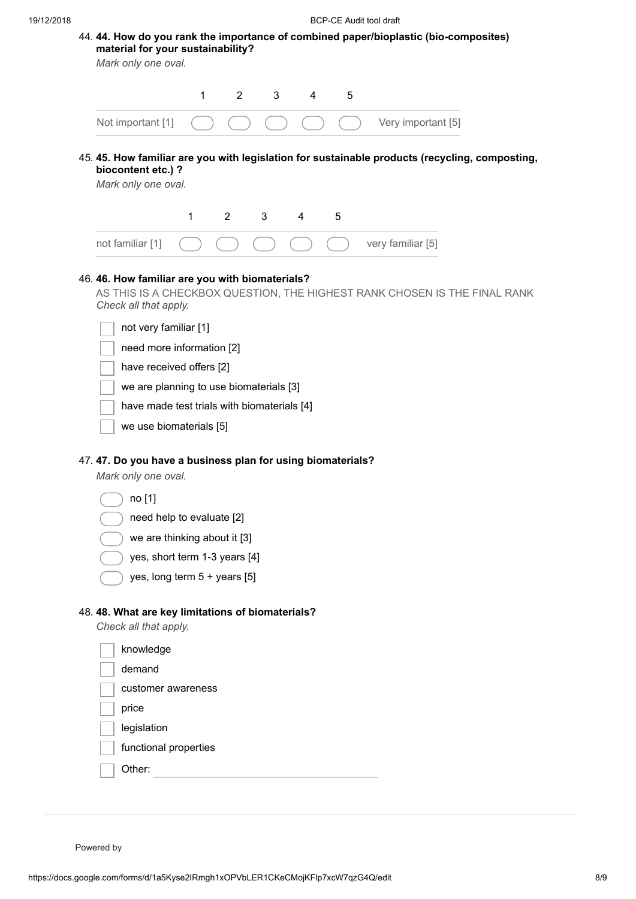| <b>BCP-CE Audit tool draft</b>                                                                                                                  |
|-------------------------------------------------------------------------------------------------------------------------------------------------|
| 44. 44. How do you rank the importance of combined paper/bioplastic (bio-composites)<br>material for your sustainability?                       |
| Mark only one oval.                                                                                                                             |
| 1<br>$\overline{2}$<br>3<br>5<br>4                                                                                                              |
|                                                                                                                                                 |
| Not important [1]<br>Very important [5]                                                                                                         |
| 45. 45. How familiar are you with legislation for sustainable products (recycling, composting,<br>biocontent etc.) ?<br>Mark only one oval.     |
| $\overline{2}$<br>3<br>1<br>5<br>4                                                                                                              |
| not familiar [1]<br>very familiar [5]                                                                                                           |
|                                                                                                                                                 |
| Check all that apply.<br>not very familiar [1]                                                                                                  |
| need more information [2]<br>have received offers [2]<br>we are planning to use biomaterials [3]<br>have made test trials with biomaterials [4] |
| we use biomaterials [5]                                                                                                                         |
| 47.47. Do you have a business plan for using biomaterials?<br>Mark only one oval.                                                               |
| no [1]                                                                                                                                          |
| need help to evaluate [2]                                                                                                                       |
| we are thinking about it [3]                                                                                                                    |
| yes, short term 1-3 years [4]                                                                                                                   |
| yes, long term 5 + years [5]                                                                                                                    |
|                                                                                                                                                 |
| 48. 48. What are key limitations of biomaterials?<br>Check all that apply.                                                                      |
| knowledge                                                                                                                                       |
| demand                                                                                                                                          |
| customer awareness                                                                                                                              |
| price                                                                                                                                           |

functional properties

| Other: |  |
|--------|--|
|        |  |

Powered by